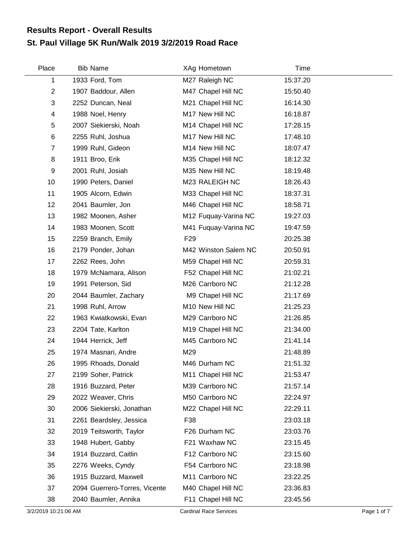## **St. Paul Village 5K Run/Walk 2019 3/2/2019 Road Race Results Report - Overall Results**

| Place          | <b>Bib Name</b>               | XAg Hometown         | Time     |
|----------------|-------------------------------|----------------------|----------|
| 1              | 1933 Ford, Tom                | M27 Raleigh NC       | 15:37.20 |
| $\overline{2}$ | 1907 Baddour, Allen           | M47 Chapel Hill NC   | 15:50.40 |
| 3              | 2252 Duncan, Neal             | M21 Chapel Hill NC   | 16:14.30 |
| 4              | 1988 Noel, Henry              | M17 New Hill NC      | 16:18.87 |
| 5              | 2007 Siekierski, Noah         | M14 Chapel Hill NC   | 17:28.15 |
| 6              | 2255 Ruhl, Joshua             | M17 New Hill NC      | 17:48.10 |
| $\overline{7}$ | 1999 Ruhl, Gideon             | M14 New Hill NC      | 18:07.47 |
| 8              | 1911 Broo, Erik               | M35 Chapel Hill NC   | 18:12.32 |
| 9              | 2001 Ruhl, Josiah             | M35 New Hill NC      | 18:19.48 |
| 10             | 1990 Peters, Daniel           | M23 RALEIGH NC       | 18:26.43 |
| 11             | 1905 Alcorn, Edwin            | M33 Chapel Hill NC   | 18:37.31 |
| 12             | 2041 Baumler, Jon             | M46 Chapel Hill NC   | 18:58.71 |
| 13             | 1982 Moonen, Asher            | M12 Fuquay-Varina NC | 19:27.03 |
| 14             | 1983 Moonen, Scott            | M41 Fuquay-Varina NC | 19:47.59 |
| 15             | 2259 Branch, Emily            | F <sub>29</sub>      | 20:25.38 |
| 16             | 2179 Ponder, Johan            | M42 Winston Salem NC | 20:50.91 |
| 17             | 2262 Rees, John               | M59 Chapel Hill NC   | 20:59.31 |
| 18             | 1979 McNamara, Alison         | F52 Chapel Hill NC   | 21:02.21 |
| 19             | 1991 Peterson, Sid            | M26 Carrboro NC      | 21:12.28 |
| 20             | 2044 Baumler, Zachary         | M9 Chapel Hill NC    | 21:17.69 |
| 21             | 1998 Ruhl, Arrow              | M10 New Hill NC      | 21:25.23 |
| 22             | 1963 Kwiatkowski, Evan        | M29 Carrboro NC      | 21:26.85 |
| 23             | 2204 Tate, Karlton            | M19 Chapel Hill NC   | 21:34.00 |
| 24             | 1944 Herrick, Jeff            | M45 Carrboro NC      | 21:41.14 |
| 25             | 1974 Masnari, Andre           | M29                  | 21:48.89 |
| 26             | 1995 Rhoads, Donald           | M46 Durham NC        | 21:51.32 |
| 27             | 2199 Soher, Patrick           | M11 Chapel Hill NC   | 21:53.47 |
| 28             | 1916 Buzzard, Peter           | M39 Carrboro NC      | 21:57.14 |
| 29             | 2022 Weaver, Chris            | M50 Carrboro NC      | 22:24.97 |
| 30             | 2006 Siekierski, Jonathan     | M22 Chapel Hill NC   | 22:29.11 |
| 31             | 2261 Beardsley, Jessica       | F38                  | 23:03.18 |
| 32             | 2019 Teitsworth, Taylor       | F26 Durham NC        | 23:03.76 |
| 33             | 1948 Hubert, Gabby            | F21 Waxhaw NC        | 23:15.45 |
| 34             | 1914 Buzzard, Caitlin         | F12 Carrboro NC      | 23:15.60 |
| 35             | 2276 Weeks, Cyndy             | F54 Carrboro NC      | 23:18.98 |
| 36             | 1915 Buzzard, Maxwell         | M11 Carrboro NC      | 23:22.25 |
| 37             | 2094 Guerrero-Torres, Vicente | M40 Chapel Hill NC   | 23:36.83 |
| 38             | 2040 Baumler, Annika          | F11 Chapel Hill NC   | 23:45.56 |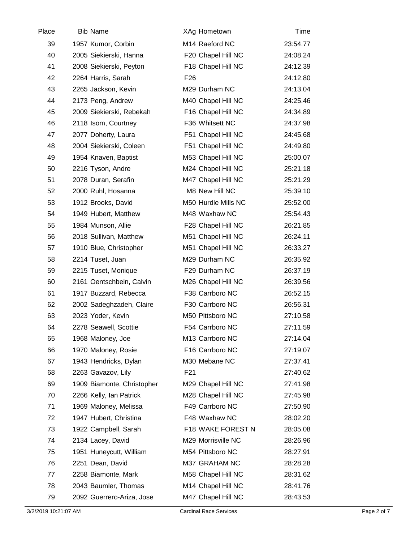| Place | <b>Bib Name</b>            | XAg Hometown        | Time     |  |
|-------|----------------------------|---------------------|----------|--|
| 39    | 1957 Kumor, Corbin         | M14 Raeford NC      | 23:54.77 |  |
| 40    | 2005 Siekierski, Hanna     | F20 Chapel Hill NC  | 24:08.24 |  |
| 41    | 2008 Siekierski, Peyton    | F18 Chapel Hill NC  | 24:12.39 |  |
| 42    | 2264 Harris, Sarah         | F <sub>26</sub>     | 24:12.80 |  |
| 43    | 2265 Jackson, Kevin        | M29 Durham NC       | 24:13.04 |  |
| 44    | 2173 Peng, Andrew          | M40 Chapel Hill NC  | 24:25.46 |  |
| 45    | 2009 Siekierski, Rebekah   | F16 Chapel Hill NC  | 24:34.89 |  |
| 46    | 2118 Isom, Courtney        | F36 Whitsett NC     | 24:37.98 |  |
| 47    | 2077 Doherty, Laura        | F51 Chapel Hill NC  | 24:45.68 |  |
| 48    | 2004 Siekierski, Coleen    | F51 Chapel Hill NC  | 24:49.80 |  |
| 49    | 1954 Knaven, Baptist       | M53 Chapel Hill NC  | 25:00.07 |  |
| 50    | 2216 Tyson, Andre          | M24 Chapel Hill NC  | 25:21.18 |  |
| 51    | 2078 Duran, Serafin        | M47 Chapel Hill NC  | 25:21.29 |  |
| 52    | 2000 Ruhl, Hosanna         | M8 New Hill NC      | 25:39.10 |  |
| 53    | 1912 Brooks, David         | M50 Hurdle Mills NC | 25:52.00 |  |
| 54    | 1949 Hubert, Matthew       | M48 Waxhaw NC       | 25:54.43 |  |
| 55    | 1984 Munson, Allie         | F28 Chapel Hill NC  | 26:21.85 |  |
| 56    | 2018 Sullivan, Matthew     | M51 Chapel Hill NC  | 26:24.11 |  |
| 57    | 1910 Blue, Christopher     | M51 Chapel Hill NC  | 26:33.27 |  |
| 58    | 2214 Tuset, Juan           | M29 Durham NC       | 26:35.92 |  |
| 59    | 2215 Tuset, Monique        | F29 Durham NC       | 26:37.19 |  |
| 60    | 2161 Oentschbein, Calvin   | M26 Chapel Hill NC  | 26:39.56 |  |
| 61    | 1917 Buzzard, Rebecca      | F38 Carrboro NC     | 26:52.15 |  |
| 62    | 2002 Sadeghzadeh, Claire   | F30 Carrboro NC     | 26:56.31 |  |
| 63    | 2023 Yoder, Kevin          | M50 Pittsboro NC    | 27:10.58 |  |
| 64    | 2278 Seawell, Scottie      | F54 Carrboro NC     | 27:11.59 |  |
| 65    | 1968 Maloney, Joe          | M13 Carrboro NC     | 27:14.04 |  |
| 66    | 1970 Maloney, Rosie        | F16 Carrboro NC     | 27:19.07 |  |
| 67    | 1943 Hendricks, Dylan      | M30 Mebane NC       | 27:37.41 |  |
| 68    | 2263 Gavazov, Lily         | F21                 | 27:40.62 |  |
| 69    | 1909 Biamonte, Christopher | M29 Chapel Hill NC  | 27:41.98 |  |
| 70    | 2266 Kelly, Ian Patrick    | M28 Chapel Hill NC  | 27:45.98 |  |
| 71    | 1969 Maloney, Melissa      | F49 Carrboro NC     | 27:50.90 |  |
| 72    | 1947 Hubert, Christina     | F48 Waxhaw NC       | 28:02.20 |  |
| 73    | 1922 Campbell, Sarah       | F18 WAKE FOREST N   | 28:05.08 |  |
| 74    | 2134 Lacey, David          | M29 Morrisville NC  | 28:26.96 |  |
| 75    | 1951 Huneycutt, William    | M54 Pittsboro NC    | 28:27.91 |  |
| 76    | 2251 Dean, David           | M37 GRAHAM NC       | 28:28.28 |  |
| 77    | 2258 Biamonte, Mark        | M58 Chapel Hill NC  | 28:31.62 |  |
| 78    | 2043 Baumler, Thomas       | M14 Chapel Hill NC  | 28:41.76 |  |
| 79    | 2092 Guerrero-Ariza, Jose  | M47 Chapel Hill NC  | 28:43.53 |  |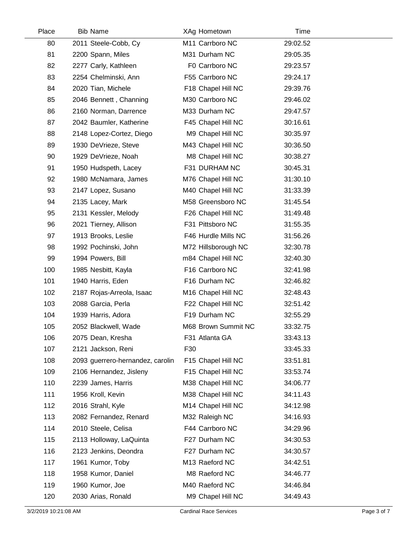| Place | <b>Bib Name</b>                  | XAg Hometown        | Time     |  |
|-------|----------------------------------|---------------------|----------|--|
| 80    | 2011 Steele-Cobb, Cy             | M11 Carrboro NC     | 29:02.52 |  |
| 81    | 2200 Spann, Miles                | M31 Durham NC       | 29:05.35 |  |
| 82    | 2277 Carly, Kathleen             | F0 Carrboro NC      | 29:23.57 |  |
| 83    | 2254 Chelminski, Ann             | F55 Carrboro NC     | 29:24.17 |  |
| 84    | 2020 Tian, Michele               | F18 Chapel Hill NC  | 29:39.76 |  |
| 85    | 2046 Bennett, Channing           | M30 Carrboro NC     | 29:46.02 |  |
| 86    | 2160 Norman, Darrence            | M33 Durham NC       | 29:47.57 |  |
| 87    | 2042 Baumler, Katherine          | F45 Chapel Hill NC  | 30:16.61 |  |
| 88    | 2148 Lopez-Cortez, Diego         | M9 Chapel Hill NC   | 30:35.97 |  |
| 89    | 1930 DeVrieze, Steve             | M43 Chapel Hill NC  | 30:36.50 |  |
| 90    | 1929 DeVrieze, Noah              | M8 Chapel Hill NC   | 30:38.27 |  |
| 91    | 1950 Hudspeth, Lacey             | F31 DURHAM NC       | 30:45.31 |  |
| 92    | 1980 McNamara, James             | M76 Chapel Hill NC  | 31:30.10 |  |
| 93    | 2147 Lopez, Susano               | M40 Chapel Hill NC  | 31:33.39 |  |
| 94    | 2135 Lacey, Mark                 | M58 Greensboro NC   | 31:45.54 |  |
| 95    | 2131 Kessler, Melody             | F26 Chapel Hill NC  | 31:49.48 |  |
| 96    | 2021 Tierney, Allison            | F31 Pittsboro NC    | 31:55.35 |  |
| 97    | 1913 Brooks, Leslie              | F46 Hurdle Mills NC | 31:56.26 |  |
| 98    | 1992 Pochinski, John             | M72 Hillsborough NC | 32:30.78 |  |
| 99    | 1994 Powers, Bill                | m84 Chapel Hill NC  | 32:40.30 |  |
| 100   | 1985 Nesbitt, Kayla              | F16 Carrboro NC     | 32:41.98 |  |
| 101   | 1940 Harris, Eden                | F16 Durham NC       | 32:46.82 |  |
| 102   | 2187 Rojas-Arreola, Isaac        | M16 Chapel Hill NC  | 32:48.43 |  |
| 103   | 2088 Garcia, Perla               | F22 Chapel Hill NC  | 32:51.42 |  |
| 104   | 1939 Harris, Adora               | F19 Durham NC       | 32:55.29 |  |
| 105   | 2052 Blackwell, Wade             | M68 Brown Summit NC | 33:32.75 |  |
| 106   | 2075 Dean, Kresha                | F31 Atlanta GA      | 33:43.13 |  |
| 107   | 2121 Jackson, Reni               | F30                 | 33:45.33 |  |
| 108   | 2093 guerrero-hernandez, carolin | F15 Chapel Hill NC  | 33:51.81 |  |
| 109   | 2106 Hernandez, Jisleny          | F15 Chapel Hill NC  | 33:53.74 |  |
| 110   | 2239 James, Harris               | M38 Chapel Hill NC  | 34:06.77 |  |
| 111   | 1956 Kroll, Kevin                | M38 Chapel Hill NC  | 34:11.43 |  |
| 112   | 2016 Strahl, Kyle                | M14 Chapel Hill NC  | 34:12.98 |  |
| 113   | 2082 Fernandez, Renard           | M32 Raleigh NC      | 34:16.93 |  |
| 114   | 2010 Steele, Celisa              | F44 Carrboro NC     | 34:29.96 |  |
| 115   | 2113 Holloway, LaQuinta          | F27 Durham NC       | 34:30.53 |  |
| 116   | 2123 Jenkins, Deondra            | F27 Durham NC       | 34:30.57 |  |
| 117   | 1961 Kumor, Toby                 | M13 Raeford NC      | 34:42.51 |  |
| 118   | 1958 Kumor, Daniel               | M8 Raeford NC       | 34:46.77 |  |
| 119   | 1960 Kumor, Joe                  | M40 Raeford NC      | 34:46.84 |  |
| 120   | 2030 Arias, Ronald               | M9 Chapel Hill NC   | 34:49.43 |  |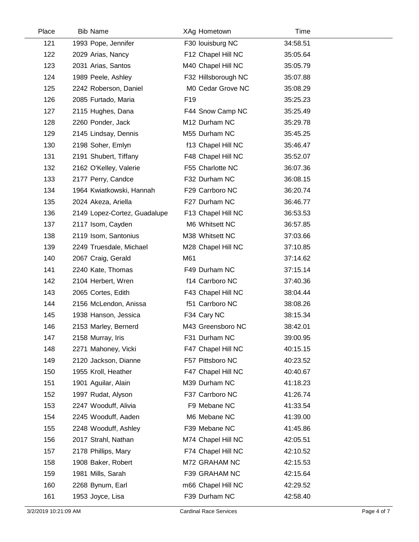| Place | <b>Bib Name</b>              | XAg Hometown        | Time     |  |
|-------|------------------------------|---------------------|----------|--|
| 121   | 1993 Pope, Jennifer          | F30 louisburg NC    | 34:58.51 |  |
| 122   | 2029 Arias, Nancy            | F12 Chapel Hill NC  | 35:05.64 |  |
| 123   | 2031 Arias, Santos           | M40 Chapel Hill NC  | 35:05.79 |  |
| 124   | 1989 Peele, Ashley           | F32 Hillsborough NC | 35:07.88 |  |
| 125   | 2242 Roberson, Daniel        | M0 Cedar Grove NC   | 35:08.29 |  |
| 126   | 2085 Furtado, Maria          | F <sub>19</sub>     | 35:25.23 |  |
| 127   | 2115 Hughes, Dana            | F44 Snow Camp NC    | 35:25.49 |  |
| 128   | 2260 Ponder, Jack            | M12 Durham NC       | 35:29.78 |  |
| 129   | 2145 Lindsay, Dennis         | M55 Durham NC       | 35:45.25 |  |
| 130   | 2198 Soher, Emlyn            | f13 Chapel Hill NC  | 35:46.47 |  |
| 131   | 2191 Shubert, Tiffany        | F48 Chapel Hill NC  | 35:52.07 |  |
| 132   | 2162 O'Kelley, Valerie       | F55 Charlotte NC    | 36:07.36 |  |
| 133   | 2177 Perry, Candce           | F32 Durham NC       | 36:08.15 |  |
| 134   | 1964 Kwiatkowski, Hannah     | F29 Carrboro NC     | 36:20.74 |  |
| 135   | 2024 Akeza, Ariella          | F27 Durham NC       | 36:46.77 |  |
| 136   | 2149 Lopez-Cortez, Guadalupe | F13 Chapel Hill NC  | 36:53.53 |  |
| 137   | 2117 Isom, Cayden            | M6 Whitsett NC      | 36:57.85 |  |
| 138   | 2119 Isom, Santonius         | M38 Whitsett NC     | 37:03.66 |  |
| 139   | 2249 Truesdale, Michael      | M28 Chapel Hill NC  | 37:10.85 |  |
| 140   | 2067 Craig, Gerald           | M61                 | 37:14.62 |  |
| 141   | 2240 Kate, Thomas            | F49 Durham NC       | 37:15.14 |  |
| 142   | 2104 Herbert, Wren           | f14 Carrboro NC     | 37:40.36 |  |
| 143   | 2065 Cortes, Edith           | F43 Chapel Hill NC  | 38:04.44 |  |
| 144   | 2156 McLendon, Anissa        | f51 Carrboro NC     | 38:08.26 |  |
| 145   | 1938 Hanson, Jessica         | F34 Cary NC         | 38:15.34 |  |
| 146   | 2153 Marley, Bernerd         | M43 Greensboro NC   | 38:42.01 |  |
| 147   | 2158 Murray, Iris            | F31 Durham NC       | 39:00.95 |  |
| 148   | 2271 Mahoney, Vicki          | F47 Chapel Hill NC  | 40:15.15 |  |
| 149   | 2120 Jackson, Dianne         | F57 Pittsboro NC    | 40:23.52 |  |
| 150   | 1955 Kroll, Heather          | F47 Chapel Hill NC  | 40:40.67 |  |
| 151   | 1901 Aguilar, Alain          | M39 Durham NC       | 41:18.23 |  |
| 152   | 1997 Rudat, Alyson           | F37 Carrboro NC     | 41:26.74 |  |
| 153   | 2247 Wooduff, Alivia         | F9 Mebane NC        | 41:33.54 |  |
| 154   | 2245 Wooduff, Aaden          | M6 Mebane NC        | 41:39.00 |  |
| 155   | 2248 Wooduff, Ashley         | F39 Mebane NC       | 41:45.86 |  |
| 156   | 2017 Strahl, Nathan          | M74 Chapel Hill NC  | 42:05.51 |  |
| 157   | 2178 Phillips, Mary          | F74 Chapel Hill NC  | 42:10.52 |  |
| 158   | 1908 Baker, Robert           | M72 GRAHAM NC       | 42:15.53 |  |
| 159   | 1981 Mills, Sarah            | F39 GRAHAM NC       | 42:15.64 |  |
| 160   | 2268 Bynum, Earl             | m66 Chapel Hill NC  | 42:29.52 |  |
| 161   | 1953 Joyce, Lisa             | F39 Durham NC       | 42:58.40 |  |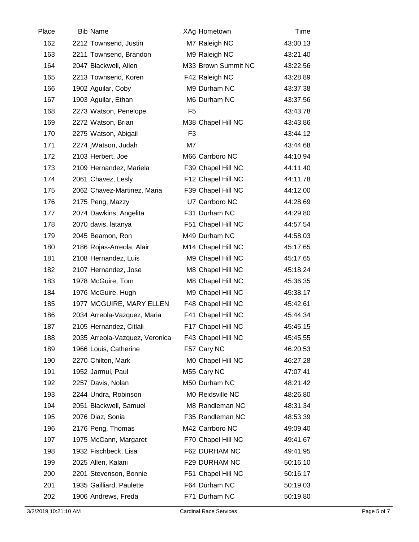| Place | <b>Bib Name</b>                | XAg Hometown        | Time     |  |
|-------|--------------------------------|---------------------|----------|--|
| 162   | 2212 Townsend, Justin          | M7 Raleigh NC       | 43:00.13 |  |
| 163   | 2211 Townsend, Brandon         | M9 Raleigh NC       | 43:21.40 |  |
| 164   | 2047 Blackwell, Allen          | M33 Brown Summit NC | 43:22.56 |  |
| 165   | 2213 Townsend, Koren           | F42 Raleigh NC      | 43:28.89 |  |
| 166   | 1902 Aguilar, Coby             | M9 Durham NC        | 43:37.38 |  |
| 167   | 1903 Aguilar, Ethan            | M6 Durham NC        | 43:37.56 |  |
| 168   | 2273 Watson, Penelope          | F <sub>5</sub>      | 43:43.78 |  |
| 169   | 2272 Watson, Brian             | M38 Chapel Hill NC  | 43:43.86 |  |
| 170   | 2275 Watson, Abigail           | F <sub>3</sub>      | 43:44.12 |  |
| 171   | 2274 jWatson, Judah            | M7                  | 43:44.68 |  |
| 172   | 2103 Herbert, Joe              | M66 Carrboro NC     | 44:10.94 |  |
| 173   | 2109 Hernandez, Mariela        | F39 Chapel Hill NC  | 44:11.40 |  |
| 174   | 2061 Chavez, Lesly             | F12 Chapel Hill NC  | 44:11.78 |  |
| 175   | 2062 Chavez-Martinez, Maria    | F39 Chapel Hill NC  | 44:12.00 |  |
| 176   | 2175 Peng, Mazzy               | U7 Carrboro NC      | 44:28.69 |  |
| 177   | 2074 Dawkins, Angelita         | F31 Durham NC       | 44:29.80 |  |
| 178   | 2070 davis, latanya            | F51 Chapel Hill NC  | 44:57.54 |  |
| 179   | 2045 Beamon, Ron               | M49 Durham NC       | 44:58.03 |  |
| 180   | 2186 Rojas-Arreola, Alair      | M14 Chapel Hill NC  | 45:17.65 |  |
| 181   | 2108 Hernandez, Luis           | M9 Chapel Hill NC   | 45:17.65 |  |
| 182   | 2107 Hernandez, Jose           | M8 Chapel Hill NC   | 45:18.24 |  |
| 183   | 1978 McGuire, Tom              | M8 Chapel Hill NC   | 45:36.35 |  |
| 184   | 1976 McGuire, Hugh             | M9 Chapel Hill NC   | 45:38.17 |  |
| 185   | 1977 MCGUIRE, MARY ELLEN       | F48 Chapel Hill NC  | 45:42.61 |  |
| 186   | 2034 Arreola-Vazquez, Maria    | F41 Chapel Hill NC  | 45:44.34 |  |
| 187   | 2105 Hernandez, Citlali        | F17 Chapel Hill NC  | 45:45.15 |  |
| 188   | 2035 Arreola-Vazquez, Veronica | F43 Chapel Hill NC  | 45:45.55 |  |
| 189   | 1966 Louis, Catherine          | F57 Cary NC         | 46:20.53 |  |
| 190   | 2270 Chilton, Mark             | M0 Chapel Hill NC   | 46:27.28 |  |
| 191   | 1952 Jarmul, Paul              | M55 Cary NC         | 47:07.41 |  |
| 192   | 2257 Davis, Nolan              | M50 Durham NC       | 48:21.42 |  |
| 193   | 2244 Undra, Robinson           | M0 Reidsville NC    | 48:26.80 |  |
| 194   | 2051 Blackwell, Samuel         | M8 Randleman NC     | 48:31.34 |  |
| 195   | 2076 Diaz, Sonia               | F35 Randleman NC    | 48:53.39 |  |
| 196   | 2176 Peng, Thomas              | M42 Carrboro NC     | 49:09.40 |  |
| 197   | 1975 McCann, Margaret          | F70 Chapel Hill NC  | 49:41.67 |  |
| 198   | 1932 Fischbeck, Lisa           | F62 DURHAM NC       | 49:41.95 |  |
| 199   | 2025 Allen, Kalani             | F29 DURHAM NC       | 50:16.10 |  |
| 200   | 2201 Stevenson, Bonnie         | F51 Chapel Hill NC  | 50:16.17 |  |
| 201   | 1935 Gailliard, Paulette       | F64 Durham NC       | 50:19.03 |  |
| 202   | 1906 Andrews, Freda            | F71 Durham NC       | 50:19.80 |  |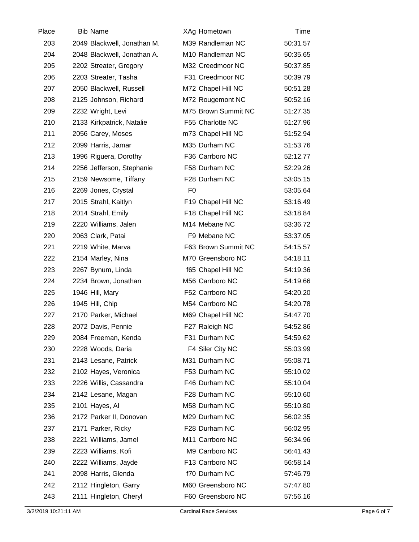| Place | <b>Bib Name</b>             | XAg Hometown        | Time     |  |
|-------|-----------------------------|---------------------|----------|--|
| 203   | 2049 Blackwell, Jonathan M. | M39 Randleman NC    | 50:31.57 |  |
| 204   | 2048 Blackwell, Jonathan A. | M10 Randleman NC    | 50:35.65 |  |
| 205   | 2202 Streater, Gregory      | M32 Creedmoor NC    | 50:37.85 |  |
| 206   | 2203 Streater, Tasha        | F31 Creedmoor NC    | 50:39.79 |  |
| 207   | 2050 Blackwell, Russell     | M72 Chapel Hill NC  | 50:51.28 |  |
| 208   | 2125 Johnson, Richard       | M72 Rougemont NC    | 50:52.16 |  |
| 209   | 2232 Wright, Levi           | M75 Brown Summit NC | 51:27.35 |  |
| 210   | 2133 Kirkpatrick, Natalie   | F55 Charlotte NC    | 51:27.96 |  |
| 211   | 2056 Carey, Moses           | m73 Chapel Hill NC  | 51:52.94 |  |
| 212   | 2099 Harris, Jamar          | M35 Durham NC       | 51:53.76 |  |
| 213   | 1996 Riguera, Dorothy       | F36 Carrboro NC     | 52:12.77 |  |
| 214   | 2256 Jefferson, Stephanie   | F58 Durham NC       | 52:29.26 |  |
| 215   | 2159 Newsome, Tiffany       | F28 Durham NC       | 53:05.15 |  |
| 216   | 2269 Jones, Crystal         | F <sub>0</sub>      | 53:05.64 |  |
| 217   | 2015 Strahl, Kaitlyn        | F19 Chapel Hill NC  | 53:16.49 |  |
| 218   | 2014 Strahl, Emily          | F18 Chapel Hill NC  | 53:18.84 |  |
| 219   | 2220 Williams, Jalen        | M14 Mebane NC       | 53:36.72 |  |
| 220   | 2063 Clark, Patai           | F9 Mebane NC        | 53:37.05 |  |
| 221   | 2219 White, Marva           | F63 Brown Summit NC | 54:15.57 |  |
| 222   | 2154 Marley, Nina           | M70 Greensboro NC   | 54:18.11 |  |
| 223   | 2267 Bynum, Linda           | f65 Chapel Hill NC  | 54:19.36 |  |
| 224   | 2234 Brown, Jonathan        | M56 Carrboro NC     | 54:19.66 |  |
| 225   | 1946 Hill, Mary             | F52 Carrboro NC     | 54:20.20 |  |
| 226   | 1945 Hill, Chip             | M54 Carrboro NC     | 54:20.78 |  |
| 227   | 2170 Parker, Michael        | M69 Chapel Hill NC  | 54:47.70 |  |
| 228   | 2072 Davis, Pennie          | F27 Raleigh NC      | 54:52.86 |  |
| 229   | 2084 Freeman, Kenda         | F31 Durham NC       | 54:59.62 |  |
| 230   | 2228 Woods, Daria           | F4 Siler City NC    | 55:03.99 |  |
| 231   | 2143 Lesane, Patrick        | M31 Durham NC       | 55:08.71 |  |
| 232   | 2102 Hayes, Veronica        | F53 Durham NC       | 55:10.02 |  |
| 233   | 2226 Willis, Cassandra      | F46 Durham NC       | 55:10.04 |  |
| 234   | 2142 Lesane, Magan          | F28 Durham NC       | 55:10.60 |  |
| 235   | 2101 Hayes, Al              | M58 Durham NC       | 55:10.80 |  |
| 236   | 2172 Parker II, Donovan     | M29 Durham NC       | 56:02.35 |  |
| 237   | 2171 Parker, Ricky          | F28 Durham NC       | 56:02.95 |  |
| 238   | 2221 Williams, Jamel        | M11 Carrboro NC     | 56:34.96 |  |
| 239   | 2223 Williams, Kofi         | M9 Carrboro NC      | 56:41.43 |  |
| 240   | 2222 Williams, Jayde        | F13 Carrboro NC     | 56:58.14 |  |
| 241   | 2098 Harris, Glenda         | f70 Durham NC       | 57:46.79 |  |
| 242   | 2112 Hingleton, Garry       | M60 Greensboro NC   | 57:47.80 |  |
| 243   | 2111 Hingleton, Cheryl      | F60 Greensboro NC   | 57:56.16 |  |